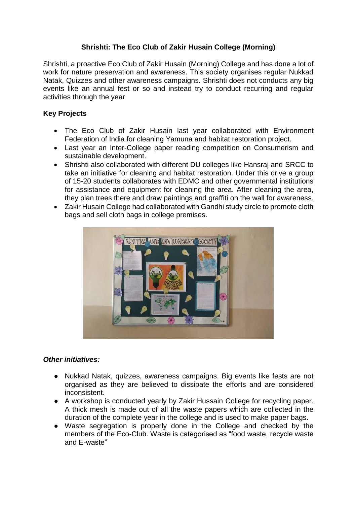## **Shrishti: The Eco Club of Zakir Husain College (Morning)**

Shrishti, a proactive Eco Club of Zakir Husain (Morning) College and has done a lot of work for nature preservation and awareness. This society organises regular Nukkad Natak, Quizzes and other awareness campaigns. Shrishti does not conducts any big events like an annual fest or so and instead try to conduct recurring and regular activities through the year

## **Key Projects**

- The Eco Club of Zakir Husain last year collaborated with Environment Federation of India for cleaning Yamuna and habitat restoration project.
- Last year an Inter-College paper reading competition on Consumerism and sustainable development.
- Shrishti also collaborated with different DU colleges like Hansraj and SRCC to take an initiative for cleaning and habitat restoration. Under this drive a group of 15-20 students collaborates with EDMC and other governmental institutions for assistance and equipment for cleaning the area. After cleaning the area, they plan trees there and draw paintings and graffiti on the wall for awareness.
- Zakir Husain College had collaborated with Gandhi study circle to promote cloth bags and sell cloth bags in college premises.



## *Other initiatives:*

- Nukkad Natak, quizzes, awareness campaigns. Big events like fests are not organised as they are believed to dissipate the efforts and are considered inconsistent.
- A workshop is conducted yearly by Zakir Hussain College for recycling paper. A thick mesh is made out of all the waste papers which are collected in the duration of the complete year in the college and is used to make paper bags.
- Waste segregation is properly done in the College and checked by the members of the Eco-Club. Waste is categorised as "food waste, recycle waste and E-waste"